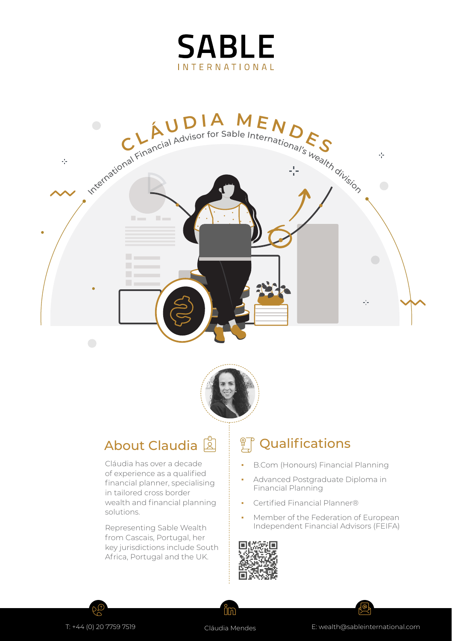





Cláudia has over a decade of experience as a qualified financial planner, specialising in tailored cross border wealth and financial planning solutions.

Representing Sable Wealth from Cascais, Portugal, her key jurisdictions include South Africa, Portugal and the UK.

## About Claudia 2 | <sup>2</sup> Qualifications

- **B.Com (Honours) Financial Planning**
- Advanced Postgraduate Diploma in Financial Planning
- Certified Financial Planner®
- Member of the Federation of European Independent Financial Advisors (FEIFA)